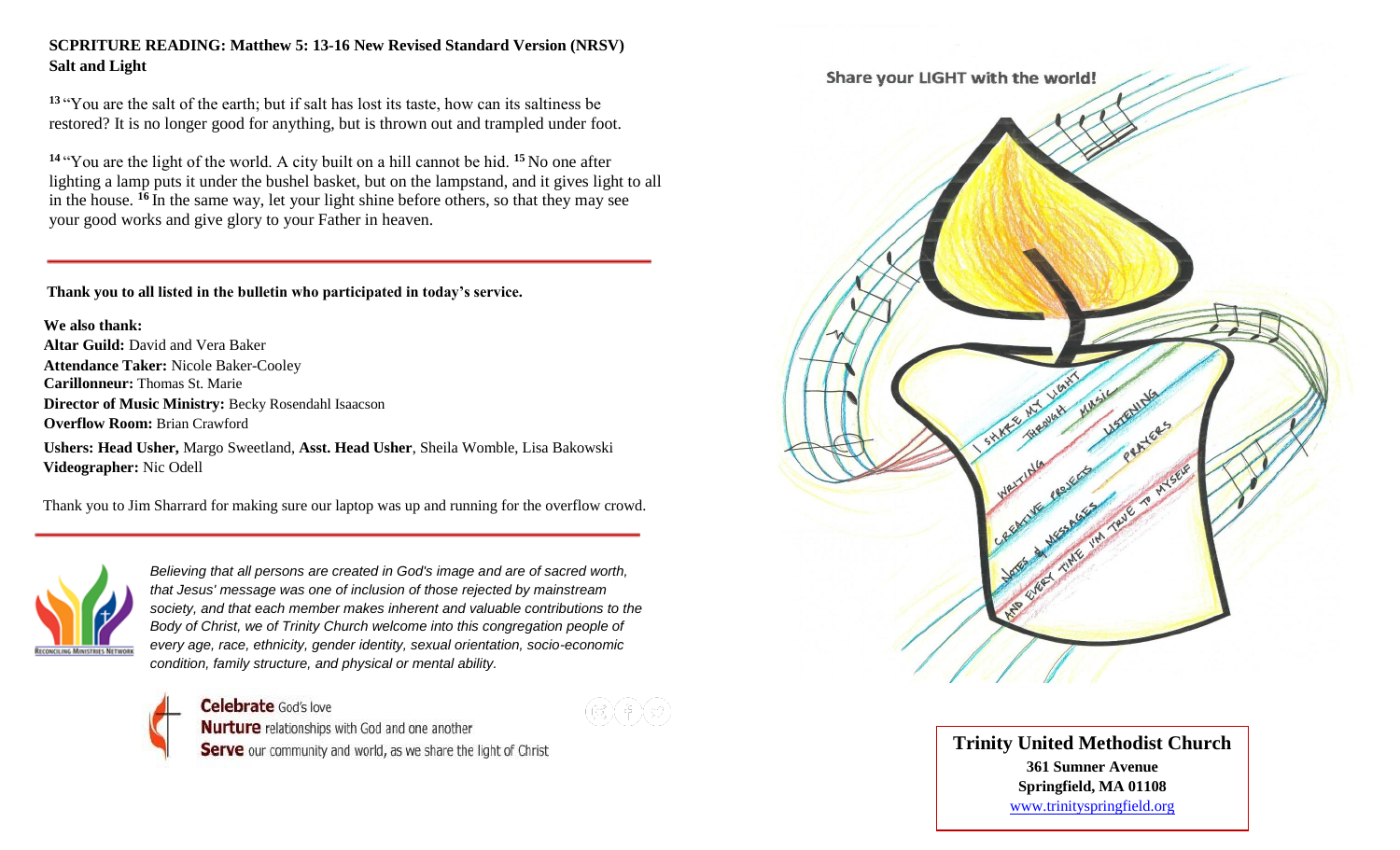# **SCPRITURE READING: Matthew 5: 13-16 New Revised Standard Version (NRSV) Salt and Light**

**<sup>13</sup>** "You are the salt of the earth; but if salt has lost its taste, how can its saltiness be restored? It is no longer good for anything, but is thrown out and trampled under foot.

**<sup>14</sup>** "You are the light of the world. A city built on a hill cannot be hid. **<sup>15</sup>** No one after lighting a lamp puts it under the bushel basket, but on the lampstand, and it gives light to all in the house. **<sup>16</sup>** In the same way, let your light shine before others, so that they may see your good works and give glory to your Father in heaven.

 **Thank you to all listed in the bulletin who participated in today's service.**

**We also thank: Altar Guild:** David and Vera Baker **Attendance Taker:** Nicole Baker-Cooley **Carillonneur:** Thomas St. Marie **Director of Music Ministry:** Becky Rosendahl Isaacson **Overflow Room:** Brian Crawford

**Ushers: Head Usher,** Margo Sweetland, **Asst. Head Usher**, Sheila Womble, Lisa Bakowski  **Videographer:** Nic Odell

Thank you to Jim Sharrard for making sure our laptop was up and running for the overflow crowd.



*Believing that all persons are created in God's image and are of sacred worth, that Jesus' message was one of inclusion of those rejected by mainstream society, and that each member makes inherent and valuable contributions to the*  **Body of Christ, we of Trinity Church welcome into this congregation people of** *every age, race, ethnicity, gender identity, sexual orientation, socio-economic condition, family structure, and physical or mental ability.*





**Trinity United Methodist Church 361 Sumner Avenue Springfield, MA 01108** [www.trinityspringfield.org](http://www.trinityspringfield.org/)